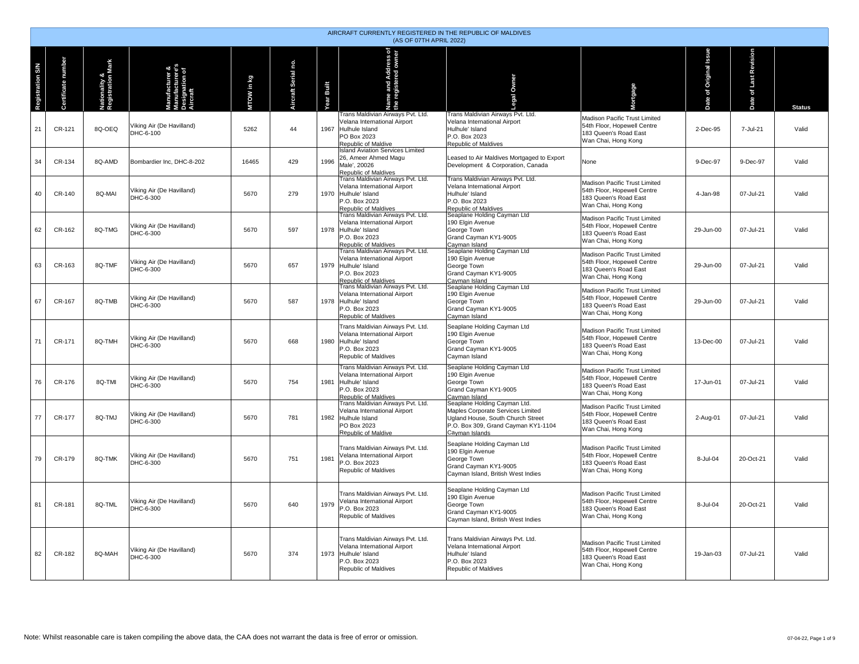|                         | AIRCRAFT CURRENTLY REGISTERED IN THE REPUBLIC OF MALDIVES<br>(AS OF 07TH APRIL 2022) |                                                |                                        |            |                       |                    |                                                                                                                                      |                                                                                                                                                                 |                                                                                                              |                       |                       |               |  |  |
|-------------------------|--------------------------------------------------------------------------------------|------------------------------------------------|----------------------------------------|------------|-----------------------|--------------------|--------------------------------------------------------------------------------------------------------------------------------------|-----------------------------------------------------------------------------------------------------------------------------------------------------------------|--------------------------------------------------------------------------------------------------------------|-----------------------|-----------------------|---------------|--|--|
| <b>Registration S/N</b> | number<br>cate<br>ъ                                                                  | <b>Vationality &amp;<br/>Registration Mark</b> | facturer &                             | MTOW in kg | p.<br>Aircraft Serial | Built<br><b>RE</b> | and Address of<br>gistered owner<br>Name and A<br>the registere                                                                      | Owner                                                                                                                                                           | prtgage                                                                                                      | ate of Original Issue | Date of Last Revision | <b>Status</b> |  |  |
| 21                      | CR-121                                                                               | 8Q-OEQ                                         | Viking Air (De Havilland)<br>DHC-6-100 | 5262       | 44                    | 1967               | Trans Maldivian Airways Pvt. Ltd.<br>Velana International Airport<br>Hulhule Island<br>PO Box 2023<br>Republic of Maldive            | Trans Maldivian Airways Pvt. Ltd.<br>Velana International Airport<br>Hulhule' Island<br>P.O. Box 2023<br>Republic of Maldives                                   | Madison Pacific Trust Limited<br>54th Floor, Hopewell Centre<br>183 Queen's Road East<br>Wan Chai, Hong Kong | 2-Dec-95              | 7-Jul-21              | Valid         |  |  |
| 34                      | CR-134                                                                               | 8Q-AMD                                         | Bombardier Inc, DHC-8-202              | 16465      | 429                   | 1996               | <b>Island Aviation Services Limited</b><br>26, Ameer Ahmed Magu<br>Male', 20026<br>Republic of Maldives                              | Leased to Air Maldives Mortgaged to Export<br>Development & Corporation, Canada                                                                                 | None                                                                                                         | 9-Dec-97              | 9-Dec-97              | Valid         |  |  |
| 40                      | CR-140                                                                               | 8Q-MAI                                         | Viking Air (De Havilland)<br>DHC-6-300 | 5670       | 279                   | 1970               | Trans Maldivian Airways Pvt. Ltd.<br>Velana International Airport<br>Hulhule' Island<br>P.O. Box 2023<br>Republic of Maldives        | Trans Maldivian Airways Pvt. Ltd.<br>Velana International Airport<br>Hulhule' Island<br>P.O. Box 2023<br>Republic of Maldives<br>Seaplane Holding Cayman Ltd    | Madison Pacific Trust Limited<br>54th Floor, Hopewell Centre<br>183 Queen's Road East<br>Wan Chai, Hong Kong | 4-Jan-98              | 07-Jul-21             | Valid         |  |  |
| 62                      | CR-162                                                                               | 8Q-TMG                                         | Viking Air (De Havilland)<br>DHC-6-300 | 5670       | 597                   | 1978               | Trans Maldivian Airways Pvt. Ltd.<br>Velana International Airport<br>Hulhule' Island<br>P.O. Box 2023<br>Republic of Maldives        | 190 Elgin Avenue<br>George Town<br>Grand Cayman KY1-9005<br>Cayman Island                                                                                       | Madison Pacific Trust Limited<br>54th Floor, Hopewell Centre<br>183 Queen's Road East<br>Wan Chai, Hong Kong | 29-Jun-00             | 07-Jul-21             | Valid         |  |  |
| 63                      | CR-163                                                                               | 8Q-TMF                                         | Viking Air (De Havilland)<br>DHC-6-300 | 5670       | 657                   | 1979               | Trans Maldivian Airways Pvt. Ltd.<br>Velana International Airport<br>Hulhule' Island<br>P.O. Box 2023<br>Republic of Maldives        | Seaplane Holding Cayman Ltd<br>190 Elgin Avenue<br>George Town<br>Grand Cayman KY1-9005<br>Cayman Island                                                        | Madison Pacific Trust Limited<br>54th Floor, Hopewell Centre<br>183 Queen's Road East<br>Wan Chai, Hong Kong | 29-Jun-00             | 07-Jul-21             | Valid         |  |  |
| 67                      | CR-167                                                                               | 8Q-TMB                                         | Viking Air (De Havilland)<br>DHC-6-300 | 5670       | 587                   | 1978               | Trans Maldivian Airways Pvt. Ltd.<br>Velana International Airport<br>Hulhule' Island<br>P.O. Box 2023<br>Republic of Maldives        | Seaplane Holding Cayman Ltd<br>190 Elgin Avenue<br>George Town<br>Grand Cayman KY1-9005<br>Cayman Island                                                        | Madison Pacific Trust Limited<br>54th Floor, Hopewell Centre<br>183 Queen's Road East<br>Wan Chai, Hong Kong | 29-Jun-00             | 07-Jul-21             | Valid         |  |  |
| 71                      | CR-171                                                                               | 8Q-TMH                                         | Viking Air (De Havilland)<br>DHC-6-300 | 5670       | 668                   | 1980               | Trans Maldivian Airways Pvt. Ltd.<br>Velana International Airport<br>Hulhule' Island<br>P.O. Box 2023<br>Republic of Maldives        | Seaplane Holding Cayman Ltd<br>190 Elgin Avenue<br>George Town<br>Grand Cayman KY1-9005<br>Cayman Island                                                        | Madison Pacific Trust Limited<br>54th Floor, Hopewell Centre<br>183 Queen's Road East<br>Wan Chai, Hong Kong | 13-Dec-00             | 07-Jul-21             | Valid         |  |  |
| 76                      | CR-176                                                                               | 8O-TMI                                         | Viking Air (De Havilland)<br>DHC-6-300 | 5670       | 754                   | 1981               | Trans Maldivian Airways Pvt. Ltd.<br>Velana International Airport<br>Hulhule' Island<br>P.O. Box 2023<br><b>Republic of Maldives</b> | Seaplane Holding Cayman Ltd<br>190 Elgin Avenue<br>George Town<br>Grand Cayman KY1-9005<br>Cayman Island                                                        | Madison Pacific Trust Limited<br>54th Floor, Hopewell Centre<br>183 Queen's Road East<br>Wan Chai, Hong Kong | 17-Jun-01             | 07-Jul-21             | Valid         |  |  |
| 77                      | CR-177                                                                               | 8Q-TMJ                                         | Viking Air (De Havilland)<br>DHC-6-300 | 5670       | 781                   | 1982               | Trans Maldivian Airways Pvt. Ltd.<br>Velana International Airport<br>Hulhule Island<br>PO Box 2023<br>Republic of Maldive            | Seaplane Holding Cayman Ltd.<br>Maples Corporate Services Limited<br>Ugland House, South Church Street<br>P.O. Box 309, Grand Cayman KY1-1104<br>Cavman Islands | Madison Pacific Trust Limited<br>54th Floor, Hopewell Centre<br>183 Queen's Road East<br>Wan Chai, Hong Kong | 2-Aug-01              | 07-Jul-21             | Valid         |  |  |
| 79                      | CR-179                                                                               | 8Q-TMK                                         | Viking Air (De Havilland)<br>DHC-6-300 | 5670       | 751                   | 1981               | Trans Maldivian Airways Pvt. Ltd.<br>/elana International Airport<br>P.O. Box 2023<br><b>Republic of Maldives</b>                    | Seaplane Holding Cayman Ltd<br>190 Elgin Avenue<br>George Town<br>Grand Cayman KY1-9005<br>Cayman Island, British West Indies                                   | Madison Pacific Trust Limited<br>54th Floor, Hopewell Centre<br>183 Queen's Road East<br>Wan Chai, Hong Kong | 8-Jul-04              | 20-Oct-21             | Valid         |  |  |
| 81                      | CR-181                                                                               | 8Q-TML                                         | Viking Air (De Havilland)<br>DHC-6-300 | 5670       | 640                   | 1979               | Trans Maldivian Airways Pvt. Ltd.<br>Velana International Airport<br>P.O. Box 2023<br>Republic of Maldives                           | Seaplane Holding Cayman Ltd<br>190 Elgin Avenue<br>George Town<br>Grand Cayman KY1-9005<br>Cayman Island, British West Indies                                   | Madison Pacific Trust Limited<br>54th Floor, Hopewell Centre<br>183 Queen's Road East<br>Wan Chai, Hong Kong | 8-Jul-04              | 20-Oct-21             | Valid         |  |  |
| 82                      | CR-182                                                                               | 8Q-MAH                                         | Viking Air (De Havilland)<br>DHC-6-300 | 5670       | 374                   | 1973               | Trans Maldivian Airways Pvt. Ltd.<br>Velana International Airport<br>Hulhule' Island<br>P.O. Box 2023<br>Republic of Maldives        | Trans Maldivian Airways Pvt. Ltd.<br>Velana International Airport<br>Hulhule' Island<br>P.O. Box 2023<br>Republic of Maldives                                   | Madison Pacific Trust Limited<br>54th Floor, Hopewell Centre<br>183 Queen's Road East<br>Wan Chai, Hong Kong | 19-Jan-03             | 07-Jul-21             | Valid         |  |  |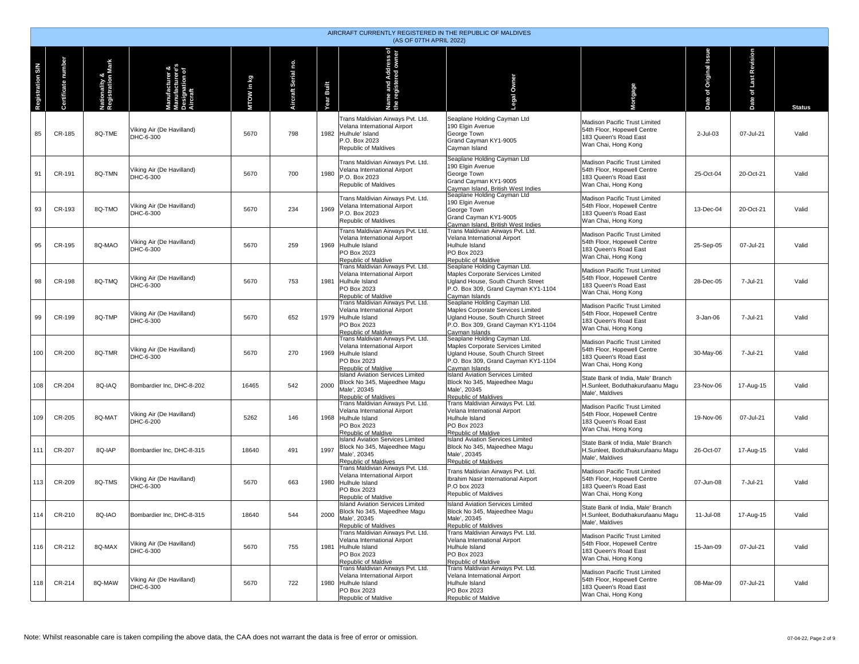|                  | AIRCRAFT CURRENTLY REGISTERED IN THE REPUBLIC OF MALDIVES<br>(AS OF 07TH APRIL 2022) |                                    |                                               |            |                        |              |                                                                                                                                    |                                                                                                                                                                 |                                                                                                              |                   |                       |               |  |  |
|------------------|--------------------------------------------------------------------------------------|------------------------------------|-----------------------------------------------|------------|------------------------|--------------|------------------------------------------------------------------------------------------------------------------------------------|-----------------------------------------------------------------------------------------------------------------------------------------------------------------|--------------------------------------------------------------------------------------------------------------|-------------------|-----------------------|---------------|--|--|
| Registration S/N | Certificate number                                                                   | Nationality &<br>Registration Mark | Manufacturere's<br>Designation of<br>Aircraft | MTOW in kg | ρġ.<br>Aircraft Serial | Built<br>ear | ame and Address of<br>e registered owner<br>£                                                                                      | Owner<br>ga                                                                                                                                                     | ortgage                                                                                                      | of Original Issue | Date of Last Revision | <b>Status</b> |  |  |
| 85               | CR-185                                                                               | 8Q-TME                             | Viking Air (De Havilland)<br>DHC-6-300        | 5670       | 798                    |              | Trans Maldivian Airways Pvt. Ltd.<br>Velana International Airport<br>1982 Hulhule' Island<br>P.O. Box 2023<br>Republic of Maldives | Seaplane Holding Cayman Ltd<br>190 Elgin Avenue<br>George Town<br>Grand Cayman KY1-9005<br>Cayman Island                                                        | Madison Pacific Trust Limited<br>54th Floor, Hopewell Centre<br>183 Queen's Road East<br>Wan Chai, Hong Kong | 2-Jul-03          | 07-Jul-21             | Valid         |  |  |
| 91               | CR-191                                                                               | 8Q-TMN                             | Viking Air (De Havilland)<br>DHC-6-300        | 5670       | 700                    | 1980         | Trans Maldivian Airways Pvt. Ltd.<br>/elana International Airport<br>P.O. Box 2023<br>Republic of Maldives                         | Seaplane Holding Cayman Ltd<br>190 Elgin Avenue<br>George Town<br>Grand Cayman KY1-9005<br>Cayman Island, British West Indies                                   | Madison Pacific Trust Limited<br>54th Floor, Hopewell Centre<br>183 Queen's Road East<br>Wan Chai, Hong Kong | 25-Oct-04         | 20-Oct-21             | Valid         |  |  |
| 93               | CR-193                                                                               | 8Q-TMO                             | Viking Air (De Havilland)<br>DHC-6-300        | 5670       | 234                    | 1969         | Trans Maldivian Airways Pvt. Ltd.<br>/elana International Airport<br>P.O. Box 2023<br>Republic of Maldives                         | Seaplane Holding Cayman Ltd<br>190 Elgin Avenue<br>George Town<br>Grand Cayman KY1-9005<br>Cayman Island, British West Indies                                   | Madison Pacific Trust Limited<br>54th Floor, Hopewell Centre<br>183 Queen's Road East<br>Wan Chai, Hong Kong | 13-Dec-04         | 20-Oct-21             | Valid         |  |  |
| 95               | CR-195                                                                               | 8Q-MAO                             | Viking Air (De Havilland)<br>DHC-6-300        | 5670       | 259                    |              | Trans Maldivian Airways Pvt. Ltd.<br>Velana International Airport<br>1969 Hulhule Island<br>PO Box 2023<br>Republic of Maldive     | Trans Maldivian Airways Pvt. Ltd.<br>Velana International Airport<br>Hulhule Island<br>PO Box 2023<br>Republic of Maldive                                       | Madison Pacific Trust Limited<br>54th Floor, Hopewell Centre<br>183 Queen's Road East<br>Wan Chai, Hong Kong | 25-Sep-05         | 07-Jul-21             | Valid         |  |  |
| 98               | CR-198                                                                               | 8Q-TMQ                             | Viking Air (De Havilland)<br>DHC-6-300        | 5670       | 753                    | 1981         | Trans Maldivian Airways Pvt. Ltd.<br>Velana International Airport<br>Hulhule Island<br>PO Box 2023<br>Republic of Maldive          | Seaplane Holding Cayman Ltd.<br>Maples Corporate Services Limited<br>Ugland House, South Church Street<br>P.O. Box 309, Grand Cayman KY1-1104<br>Cayman Islands | Madison Pacific Trust Limited<br>54th Floor, Hopewell Centre<br>183 Queen's Road East<br>Wan Chai, Hong Kong | 28-Dec-05         | 7-Jul-21              | Valid         |  |  |
| 99               | CR-199                                                                               | 8Q-TMP                             | Viking Air (De Havilland)<br>DHC-6-300        | 5670       | 652                    |              | Trans Maldivian Airways Pvt. Ltd.<br>Velana International Airport<br>1979 Hulhule Island<br>PO Box 2023<br>Republic of Maldive     | Seaplane Holding Cayman Ltd.<br>Maples Corporate Services Limited<br>Ugland House, South Church Street<br>P.O. Box 309. Grand Cavman KY1-1104<br>Cayman Islands | Madison Pacific Trust Limited<br>54th Floor, Hopewell Centre<br>183 Queen's Road East<br>Wan Chai, Hong Kong | 3-Jan-06          | 7-Jul-21              | Valid         |  |  |
| 100              | CR-200                                                                               | 8Q-TMR                             | Viking Air (De Havilland)<br>DHC-6-300        | 5670       | 270                    | 1969         | Trans Maldivian Airways Pvt. Ltd.<br>Velana International Airport<br>Hulhule Island<br>PO Box 2023<br>Republic of Maldive          | Seaplane Holding Cayman Ltd.<br>Maples Corporate Services Limited<br>Ugland House, South Church Street<br>P.O. Box 309, Grand Cayman KY1-1104<br>Cayman Islands | Madison Pacific Trust Limited<br>54th Floor, Hopewell Centre<br>183 Queen's Road East<br>Wan Chai, Hong Kong | 30-May-06         | 7-Jul-21              | Valid         |  |  |
| 108              | CR-204                                                                               | 8Q-IAQ                             | Bombardier Inc, DHC-8-202                     | 16465      | 542                    | 2000         | Island Aviation Services Limited<br>Block No 345, Majeedhee Magu<br>Male', 20345<br>Republic of Maldives                           | <b>Island Aviation Services Limited</b><br>Block No 345, Majeedhee Magu<br>Male', 20345<br>Republic of Maldives                                                 | State Bank of India, Male' Branch<br>H.Sunleet, Boduthakurufaanu Magu<br>Male', Maldives                     | 23-Nov-06         | 17-Aug-15             | Valid         |  |  |
| 109              | CR-205                                                                               | 8Q-MAT                             | Viking Air (De Havilland)<br>DHC-6-200        | 5262       | 146                    | 1968         | Trans Maldivian Airways Pvt. Ltd.<br>Velana International Airport<br>Hulhule Island<br>PO Box 2023<br>Republic of Maldive          | Trans Maldivian Airways Pvt. Ltd.<br>Velana International Airport<br>Hulhule Island<br>PO Box 2023<br>Republic of Maldive                                       | Madison Pacific Trust Limited<br>54th Floor, Hopewell Centre<br>183 Queen's Road East<br>Wan Chai, Hong Kong | 19-Nov-06         | 07-Jul-21             | Valid         |  |  |
| 111              | CR-207                                                                               | 8Q-IAP                             | Bombardier Inc, DHC-8-315                     | 18640      | 491                    | 1997         | <b>Island Aviation Services Limited</b><br>Block No 345, Majeedhee Magu<br>Male', 20345<br>Republic of Maldives                    | <b>Island Aviation Services Limited</b><br>Block No 345. Maieedhee Magu<br>Male', 20345<br>Republic of Maldives                                                 | State Bank of India, Male' Branch<br>H.Sunleet, Boduthakurufaanu Magu<br>Male', Maldives                     | 26-Oct-07         | 17-Aug-15             | Valid         |  |  |
| 113              | CR-209                                                                               | 8Q-TMS                             | Viking Air (De Havilland)<br>DHC-6-300        | 5670       | 663                    | 1980         | Trans Maldivian Airways Pvt. Ltd.<br>Velana International Airport<br>Hulhule Island<br>PO Box 2023<br>Republic of Maldive          | Trans Maldivian Airways Pvt. Ltd.<br>Ibrahim Nasir International Airport<br>P.O box 2023<br><b>Republic of Maldives</b>                                         | Madison Pacific Trust Limited<br>54th Floor, Hopewell Centre<br>183 Queen's Road East<br>Wan Chai, Hong Kong | 07-Jun-08         | 7-Jul-21              | Valid         |  |  |
|                  | CR-210                                                                               | 8Q-IAO                             | Bombardier Inc, DHC-8-315                     | 18640      | 544                    | 2000         | <b>Island Aviation Services Limited</b><br>Block No 345, Majeedhee Magu<br>Male', 20345<br>Republic of Maldives                    | <b>Island Aviation Services Limited</b><br>Block No 345, Majeedhee Magu<br>Male', 20345<br><b>Republic of Maldives</b>                                          | State Bank of India, Male' Branch<br>H.Sunleet, Boduthakurufaanu Magu<br>Male', Maldives                     | 11-Jul-08         | 17-Aug-15             | Valid         |  |  |
| 116              | CR-212                                                                               | 8Q-MAX                             | Viking Air (De Havilland)<br>DHC-6-300        | 5670       | 755                    | 1981         | Trans Maldivian Airways Pvt. Ltd.<br>Velana International Airport<br>Hulhule Island<br>PO Box 2023<br>Republic of Maldive          | Trans Maldivian Airways Pvt. Ltd.<br>Velana International Airport<br>Hulhule Island<br>PO Box 2023<br>Republic of Maldive                                       | Madison Pacific Trust Limited<br>54th Floor, Hopewell Centre<br>183 Queen's Road East<br>Wan Chai, Hong Kong | 15-Jan-09         | 07-Jul-21             | Valid         |  |  |
| 118              | CR-214                                                                               | 8Q-MAW                             | Viking Air (De Havilland)<br>DHC-6-300        | 5670       | 722                    | 1980         | Trans Maldivian Airways Pvt. Ltd.<br>Velana International Airport<br>Hulhule Island<br>PO Box 2023<br>Republic of Maldive          | Trans Maldivian Airways Pvt. Ltd.<br>Velana International Airport<br>Hulhule Island<br>PO Box 2023<br>Republic of Maldive                                       | Madison Pacific Trust Limited<br>54th Floor, Hopewell Centre<br>183 Queen's Road East<br>Wan Chai, Hong Kong | 08-Mar-09         | 07-Jul-21             | Valid         |  |  |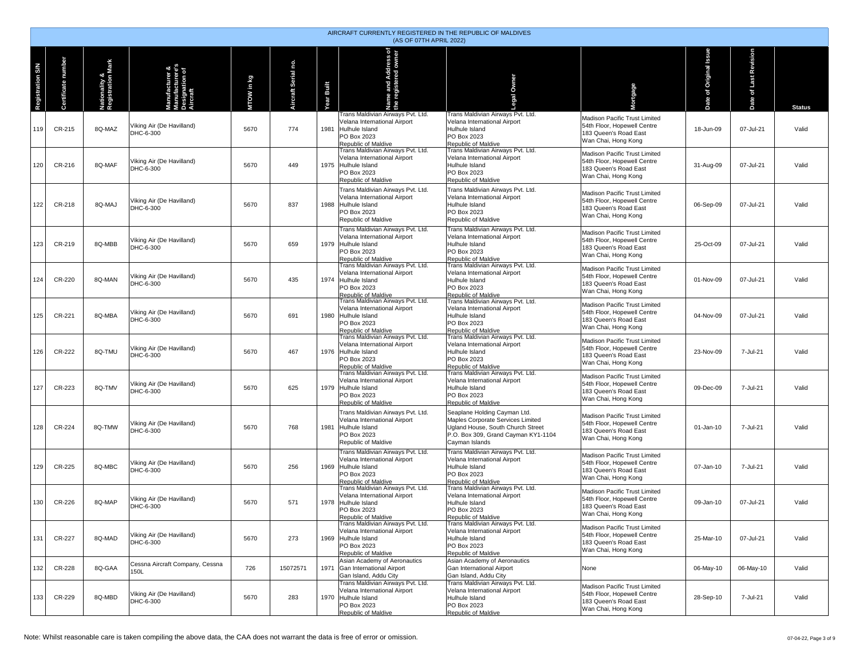|                         | AIRCRAFT CURRENTLY REGISTERED IN THE REPUBLIC OF MALDIVES<br>(AS OF 07TH APRIL 2022) |                                    |                                                               |           |                   |               |                                                                                                                                |                                                                                                                                                                 |                                                                                                              |                           |                          |               |  |  |
|-------------------------|--------------------------------------------------------------------------------------|------------------------------------|---------------------------------------------------------------|-----------|-------------------|---------------|--------------------------------------------------------------------------------------------------------------------------------|-----------------------------------------------------------------------------------------------------------------------------------------------------------------|--------------------------------------------------------------------------------------------------------------|---------------------------|--------------------------|---------------|--|--|
| <b>Registration S/N</b> | Certificate number                                                                   | Nationality &<br>Registration Mark | lanufacturer &<br>lanufacturere's<br>esignation of<br>ircraft | roW in kg | p,<br>raft Serial | Built<br>'ear | <b>Name and Address of<br/>the registered owner</b>                                                                            | Owner<br>gg.                                                                                                                                                    | ortgage                                                                                                      | of Original Issue<br>Date | of Last Revision<br>Date | <b>Status</b> |  |  |
| 119                     | CR-215                                                                               | 8Q-MAZ                             | Viking Air (De Havilland)<br>DHC-6-300                        | 5670      | 774               | 1981          | Trans Maldivian Airways Pvt. Ltd.<br>Velana International Airport<br>Hulhule Island<br>PO Box 2023<br>Republic of Maldive      | Trans Maldivian Airways Pvt. Ltd.<br>Velana International Airport<br>Hulhule Island<br><b>PO Box 2023</b><br>Republic of Maldive                                | Madison Pacific Trust Limited<br>54th Floor, Hopewell Centre<br>183 Queen's Road East<br>Wan Chai, Hong Kong | 18-Jun-09                 | 07-Jul-21                | Valid         |  |  |
| 120                     | CR-216                                                                               | 8Q-MAF                             | Viking Air (De Havilland)<br>DHC-6-300                        | 5670      | 449               |               | Trans Maldivian Airways Pvt. Ltd.<br>Velana International Airport<br>1975 Hulhule Island<br>PO Box 2023<br>Republic of Maldive | Trans Maldivian Airways Pvt. Ltd.<br>Velana International Airport<br>Hulhule Island<br>PO Box 2023<br>Republic of Maldive                                       | Madison Pacific Trust Limited<br>54th Floor, Hopewell Centre<br>183 Queen's Road East<br>Wan Chai, Hong Kong | 31-Aug-09                 | 07-Jul-21                | Valid         |  |  |
| 122                     | CR-218                                                                               | 8Q-MAJ                             | Viking Air (De Havilland)<br>DHC-6-300                        | 5670      | 837               | 1988          | Trans Maldivian Airways Pvt. Ltd.<br>Velana International Airport<br>Hulhule Island<br>PO Box 2023<br>Republic of Maldive      | Trans Maldivian Airways Pvt. Ltd.<br>Velana International Airport<br>Hulhule Island<br>PO Box 2023<br>Republic of Maldive                                       | Madison Pacific Trust Limited<br>54th Floor, Hopewell Centre<br>183 Queen's Road East<br>Wan Chai, Hong Kong | 06-Sep-09                 | 07-Jul-21                | Valid         |  |  |
| 123                     | CR-219                                                                               | 8Q-MBB                             | Viking Air (De Havilland)<br>DHC-6-300                        | 5670      | 659               |               | Frans Maldivian Airways Pvt. Ltd.<br>Velana International Airport<br>1979 Hulhule Island<br>PO Box 2023<br>Republic of Maldive | Frans Maldivian Airways Pvt. Ltd.<br>Velana International Airport<br>Hulhule Island<br>PO Box 2023<br>Republic of Maldive                                       | Madison Pacific Trust Limited<br>54th Floor, Hopewell Centre<br>183 Queen's Road East<br>Wan Chai, Hong Kong | 25-Oct-09                 | 07-Jul-21                | Valid         |  |  |
| 124                     | CR-220                                                                               | 8Q-MAN                             | Viking Air (De Havilland)<br>DHC-6-300                        | 5670      | 435               |               | Trans Maldivian Airways Pvt. Ltd.<br>Velana International Airport<br>1974 Hulhule Island<br>PO Box 2023<br>Republic of Maldive | Trans Maldivian Airways Pvt. Ltd.<br>Velana International Airport<br>Hulhule Island<br>PO Box 2023<br>Republic of Maldive                                       | Madison Pacific Trust Limited<br>54th Floor, Hopewell Centre<br>183 Queen's Road East<br>Wan Chai, Hong Kong | 01-Nov-09                 | 07-Jul-21                | Valid         |  |  |
| 125                     | CR-221                                                                               | 8Q-MBA                             | Viking Air (De Havilland)<br>DHC-6-300                        | 5670      | 691               |               | Trans Maldivian Airways Pvt. Ltd.<br>Velana International Airport<br>1980 Hulhule Island<br>PO Box 2023<br>Republic of Maldive | Trans Maldivian Airways Pvt. Ltd.<br>Velana International Airport<br>Hulhule Island<br>PO Box 2023<br>Republic of Maldive                                       | Madison Pacific Trust Limited<br>54th Floor, Hopewell Centre<br>183 Queen's Road East<br>Wan Chai, Hong Kong | 04-Nov-09                 | 07-Jul-21                | Valid         |  |  |
| 126                     | CR-222                                                                               | 8Q-TMU                             | Viking Air (De Havilland)<br>DHC-6-300                        | 5670      | 467               |               | Trans Maldivian Airways Pvt. Ltd.<br>Velana International Airport<br>1976 Hulhule Island<br>PO Box 2023<br>Republic of Maldive | Trans Maldivian Airways Pvt. Ltd.<br>Velana International Airport<br>Hulhule Island<br>PO Box 2023<br>Republic of Maldive                                       | Madison Pacific Trust Limited<br>54th Floor, Hopewell Centre<br>183 Queen's Road East<br>Wan Chai, Hong Kong | 23-Nov-09                 | 7-Jul-21                 | Valid         |  |  |
| 127                     | CR-223                                                                               | 8Q-TMV                             | Viking Air (De Havilland)<br>DHC-6-300                        | 5670      | 625               |               | Trans Maldivian Airways Pvt. Ltd.<br>Velana International Airport<br>1979 Hulhule Island<br>PO Box 2023<br>Republic of Maldive | Trans Maldivian Airways Pvt. Ltd.<br>Velana International Airport<br>Hulhule Island<br>PO Box 2023<br>Republic of Maldive                                       | Madison Pacific Trust Limited<br>54th Floor, Hopewell Centre<br>183 Queen's Road East<br>Wan Chai, Hong Kong | 09-Dec-09                 | 7-Jul-21                 | Valid         |  |  |
| 128                     | CR-224                                                                               | 8Q-TMW                             | Viking Air (De Havilland)<br>DHC-6-300                        | 5670      | 768               | 1981          | Trans Maldivian Airways Pvt. Ltd.<br>Velana International Airport<br>Hulhule Island<br>PO Box 2023<br>Republic of Maldive      | Seaplane Holding Cayman Ltd.<br>Maples Corporate Services Limited<br>Ugland House, South Church Street<br>P.O. Box 309, Grand Cayman KY1-1104<br>Cayman Islands | Madison Pacific Trust Limited<br>54th Floor, Hopewell Centre<br>183 Queen's Road East<br>Wan Chai, Hong Kong | 01-Jan-10                 | 7-Jul-21                 | Valid         |  |  |
| 129                     | CR-225                                                                               | 8Q-MBC                             | Viking Air (De Havilland)<br>DHC-6-300                        | 5670      | 256               |               | Trans Maldivian Airways Pvt. Ltd.<br>Velana International Airport<br>1969 Hulhule Island<br>PO Box 2023<br>Republic of Maldive | Trans Maldivian Airways Pvt. Ltd.<br>Velana International Airport<br>Hulhule Island<br>PO Box 2023<br>Republic of Maldive                                       | Madison Pacific Trust Limited<br>54th Floor, Hopewell Centre<br>183 Queen's Road East<br>Wan Chai, Hong Kong | 07-Jan-10                 | 7-Jul-21                 | Valid         |  |  |
| 130                     | CR-226                                                                               | 8Q-MAP                             | Viking Air (De Havilland)<br>DHC-6-300                        | 5670      | 571               | 1978          | Trans Maldivian Airways Pvt. Ltd.<br>Velana International Airport<br>Hulhule Island<br>PO Box 2023<br>Republic of Maldive      | Trans Maldivian Airwavs Pvt. Ltd.<br>Velana International Airport<br>Hulhule Island<br>PO Box 2023<br>Republic of Maldive                                       | Madison Pacific Trust Limited<br>54th Floor, Hopewell Centre<br>183 Queen's Road East<br>Wan Chai, Hong Kong | 09-Jan-10                 | 07-Jul-21                | Valid         |  |  |
| 131                     | CR-227                                                                               | 8Q-MAD                             | Viking Air (De Havilland)<br>DHC-6-300                        | 5670      | 273               |               | Trans Maldivian Airways Pvt. Ltd.<br>Velana International Airport<br>1969 Hulhule Island<br>PO Box 2023<br>Republic of Maldive | Trans Maldivian Airways Pvt. Ltd.<br>Velana International Airport<br>Hulhule Island<br>PO Box 2023<br>Republic of Maldive                                       | Madison Pacific Trust Limited<br>54th Floor, Hopewell Centre<br>183 Queen's Road East<br>Wan Chai, Hong Kong | 25-Mar-10                 | 07-Jul-21                | Valid         |  |  |
| 132                     | CR-228                                                                               | 8Q-GAA                             | Cessna Aircraft Company, Cessna<br>150L                       | 726       | 15072571          |               | Asian Academy of Aeronautics<br>1971 Gan International Airport<br>Gan Island, Addu City                                        | Asian Academy of Aeronautics<br>Gan International Airport<br>Gan Island, Addu City                                                                              | None                                                                                                         | 06-May-10                 | 06-May-10                | Valid         |  |  |
| 133                     | CR-229                                                                               | 8Q-MBD                             | Viking Air (De Havilland)<br>DHC-6-300                        | 5670      | 283               |               | Trans Maldivian Airways Pvt. Ltd.<br>Velana International Airport<br>1970 Hulhule Island<br>PO Box 2023<br>Republic of Maldive | Trans Maldivian Airways Pvt. Ltd.<br>Velana International Airport<br>Hulhule Island<br>PO Box 2023<br>Republic of Maldive                                       | Madison Pacific Trust Limited<br>54th Floor, Hopewell Centre<br>183 Queen's Road East<br>Wan Chai, Hong Kong | 28-Sep-10                 | 7-Jul-21                 | Valid         |  |  |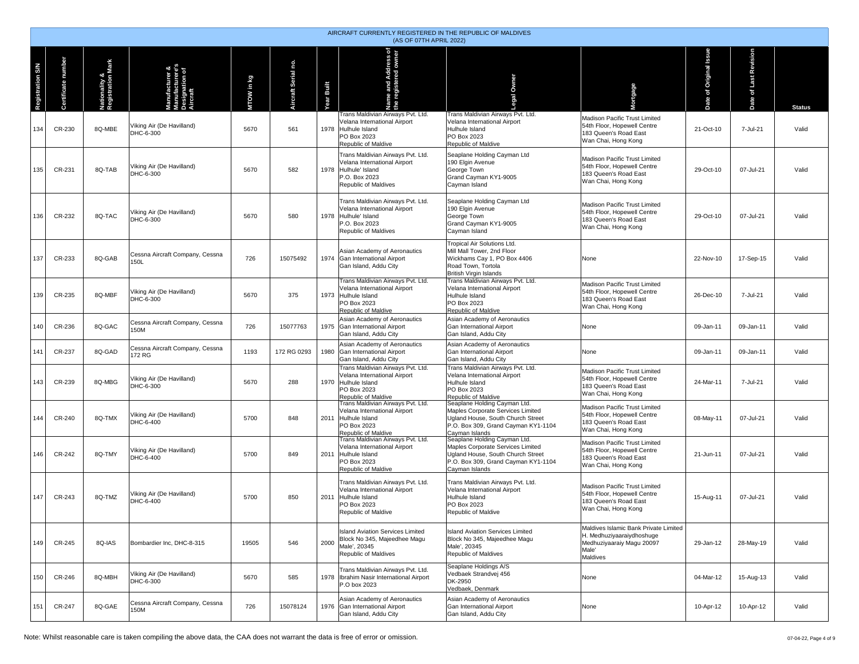|                         | AIRCRAFT CURRENTLY REGISTERED IN THE REPUBLIC OF MALDIVES<br>(AS OF 07TH APRIL 2022) |                                    |                                                                 |            |                         |                   |                                                                                                                                           |                                                                                                                                                                 |                                                                                                                      |                        |                       |               |  |  |
|-------------------------|--------------------------------------------------------------------------------------|------------------------------------|-----------------------------------------------------------------|------------|-------------------------|-------------------|-------------------------------------------------------------------------------------------------------------------------------------------|-----------------------------------------------------------------------------------------------------------------------------------------------------------------|----------------------------------------------------------------------------------------------------------------------|------------------------|-----------------------|---------------|--|--|
| <b>Registration S/N</b> | Certificate number                                                                   | Nationality &<br>Registration Mark | Manufacturer &<br>Manufacturere's<br>Designation of<br>Aircraft | MTOW in kg | p.<br>craft Serial<br>ä | <b>Year Built</b> | Name and Address of<br>the registered owner<br>Trans Maldivian Airways Pvt. Ltd.<br>Velana International Airport                          | Owner<br>p.<br>Trans Maldivian Airways Pvt. Ltd.<br>Velana International Airport                                                                                | Mortgage<br>Madison Pacific Trust Limited                                                                            | Date of Original Issue | Date of Last Revision | <b>Status</b> |  |  |
| 134                     | CR-230                                                                               | 8Q-MBE                             | Viking Air (De Havilland)<br>DHC-6-300                          | 5670       | 561                     |                   | 1978 Hulhule Island<br>PO Box 2023<br>Republic of Maldive                                                                                 | Hulhule Island<br>PO Box 2023<br>Republic of Maldive                                                                                                            | 54th Floor, Hopewell Centre<br>183 Queen's Road East<br>Wan Chai, Hong Kong                                          | 21-Oct-10              | 7-Jul-21              | Valid         |  |  |
| 135                     | CR-231                                                                               | 8Q-TAB                             | Viking Air (De Havilland)<br>DHC-6-300                          | 5670       | 582                     |                   | Trans Maldivian Airways Pvt. Ltd.<br>Velana International Airport<br>1978 Hulhule' Island<br>P.O. Box 2023<br>Republic of Maldives        | Seaplane Holding Cayman Ltd<br>190 Elain Avenue<br>George Town<br>Grand Cayman KY1-9005<br>Cayman Island                                                        | Madison Pacific Trust Limited<br>54th Floor, Hopewell Centre<br>183 Queen's Road East<br>Wan Chai, Hong Kong         | 29-Oct-10              | 07-Jul-21             | Valid         |  |  |
| 136                     | CR-232                                                                               | 8Q-TAC                             | Viking Air (De Havilland)<br>DHC-6-300                          | 5670       | 580                     |                   | Trans Maldivian Airways Pvt. Ltd.<br>Velana International Airport<br>1978 Hulhule' Island<br>P.O. Box 2023<br><b>Republic of Maldives</b> | Seaplane Holding Cayman Ltd<br>190 Elgin Avenue<br>George Town<br>Grand Cayman KY1-9005<br>Cayman Island                                                        | Madison Pacific Trust Limited<br>54th Floor, Hopewell Centre<br>183 Queen's Road East<br>Wan Chai, Hong Kong         | 29-Oct-10              | 07-Jul-21             | Valid         |  |  |
| 137                     | CR-233                                                                               | 8Q-GAB                             | Cessna Aircraft Company, Cessna<br>150L                         | 726        | 15075492                |                   | Asian Academy of Aeronautics<br>1974 Gan International Airport<br>Gan Island, Addu City                                                   | Tropical Air Solutions Ltd.<br>Mill Mall Tower, 2nd Floor<br>Wickhams Cay 1, PO Box 4406<br>Road Town, Tortola<br><b>British Virgin Islands</b>                 | None                                                                                                                 | 22-Nov-10              | 17-Sep-15             | Valid         |  |  |
| 139                     | CR-235                                                                               | 8Q-MBF                             | Viking Air (De Havilland)<br>DHC-6-300                          | 5670       | 375                     |                   | Trans Maldivian Airways Pvt. Ltd.<br>Velana International Airport<br>1973 Hulhule Island<br>PO Box 2023<br>Republic of Maldive            | Trans Maldivian Airways Pvt. Ltd.<br>Velana International Airport<br>Hulhule Island<br>PO Box 2023<br>Republic of Maldive                                       | Madison Pacific Trust Limited<br>54th Floor, Hopewell Centre<br>183 Queen's Road East<br>Wan Chai, Hong Kong         | 26-Dec-10              | 7-Jul-21              | Valid         |  |  |
| 140                     | CR-236                                                                               | 8Q-GAC                             | Cessna Aircraft Company, Cessna<br>150M                         | 726        | 15077763                |                   | Asian Academy of Aeronautics<br>1975 Gan International Airport<br>Gan Island, Addu City                                                   | Asian Academy of Aeronautics<br>Gan International Airport<br>Gan Island, Addu City                                                                              | None                                                                                                                 | 09-Jan-11              | 09-Jan-11             | Valid         |  |  |
| 141                     | CR-237                                                                               | 8Q-GAD                             | Cessna Aircraft Company, Cessna<br>172 RG                       | 1193       | 172 RG 0293             |                   | Asian Academy of Aeronautics<br>1980 Gan International Airport<br>Gan Island, Addu City                                                   | Asian Academy of Aeronautics<br>Gan International Airport<br>Gan Island, Addu City                                                                              | None                                                                                                                 | 09-Jan-11              | 09-Jan-11             | Valid         |  |  |
| 143                     | CR-239                                                                               | 8Q-MBG                             | Viking Air (De Havilland)<br>DHC-6-300                          | 5670       | 288                     |                   | Trans Maldivian Airways Pvt. Ltd.<br>Velana International Airport<br>1970 Hulhule Island<br>PO Box 2023<br>Republic of Maldive            | Trans Maldivian Airways Pvt. Ltd.<br>Velana International Airport<br>Hulhule Island<br>PO Box 2023<br>Republic of Maldive                                       | Madison Pacific Trust Limited<br>54th Floor, Hopewell Centre<br>183 Queen's Road East<br>Wan Chai, Hong Kong         | 24-Mar-11              | 7-Jul-21              | Valid         |  |  |
| 144                     | CR-240                                                                               | 8Q-TMX                             | Viking Air (De Havilland)<br>DHC-6-400                          | 5700       | 848                     |                   | Trans Maldivian Airways Pvt. Ltd.<br>Velana International Airport<br>2011 Hulhule Island<br>PO Box 2023<br>Republic of Maldive            | Seaplane Holding Cayman Ltd.<br>Maples Corporate Services Limited<br>Ugland House, South Church Street<br>P.O. Box 309, Grand Cayman KY1-1104<br>Cayman Islands | Madison Pacific Trust Limited<br>54th Floor, Hopewell Centre<br>183 Queen's Road East<br>Wan Chai, Hong Kong         | 08-May-11              | 07-Jul-21             | Valid         |  |  |
| 146                     | CR-242                                                                               | 8Q-TMY                             | Viking Air (De Havilland)<br>DHC-6-400                          | 5700       | 849                     | 2011              | Frans Maldivian Airways Pvt. Ltd.<br>Velana International Airport<br>Hulhule Island<br>PO Box 2023<br>Republic of Maldive                 | Seaplane Holding Cayman Ltd.<br>Maples Corporate Services Limited<br>Ugland House, South Church Street<br>P.O. Box 309, Grand Cayman KY1-1104<br>Cayman Islands | Madison Pacific Trust Limited<br>54th Floor, Hopewell Centre<br>183 Queen's Road East<br>Wan Chai, Hong Kong         | 21-Jun-11              | 07-Jul-21             | Valid         |  |  |
| 147                     | CR-243                                                                               | 8Q-TMZ                             | Viking Air (De Havilland)<br>DHC-6-400                          | 5700       | 850                     | 2011              | Trans Maldivian Airways Pvt. Ltd.<br>Velana International Airport<br>Hulhule Island<br>PO Box 2023<br>Republic of Maldive                 | Trans Maldivian Airways Pvt. Ltd.<br>Velana International Airport<br>Hulhule Island<br>PO Box 2023<br>Republic of Maldive                                       | Madison Pacific Trust Limited<br>54th Floor, Hopewell Centre<br>183 Queen's Road East<br>Wan Chai, Hong Kong         | 15-Aug-11              | 07-Jul-21             | Valid         |  |  |
| 149                     | CR-245                                                                               | 8Q-IAS                             | Bombardier Inc, DHC-8-315                                       | 19505      | 546                     | 2000              | <b>Island Aviation Services Limited</b><br>Block No 345, Majeedhee Magu<br>Male', 20345<br>Republic of Maldives                           | <b>Island Aviation Services Limited</b><br>Block No 345, Majeedhee Magu<br>Male', 20345<br>Republic of Maldives                                                 | Maldives Islamic Bank Private Limited<br>H. Medhuziyaaraiydhoshuqe<br>Medhuziyaaraiy Magu 20097<br>Male'<br>Maldives | 29-Jan-12              | 28-May-19             | Valid         |  |  |
| 150                     | CR-246                                                                               | 8Q-MBH                             | Viking Air (De Havilland)<br>DHC-6-300                          | 5670       | 585                     |                   | Frans Maldivian Airways Pvt. Ltd.<br>1978   Ibrahim Nasir International Airport<br>P.O box 2023                                           | Seaplane Holdings A/S<br>Vedbaek Strandvej 456<br>DK-2950<br>Vedbaek, Denmark                                                                                   | None                                                                                                                 | 04-Mar-12              | 15-Aug-13             | Valid         |  |  |
| 151                     | CR-247                                                                               | 8Q-GAE                             | Cessna Aircraft Company, Cessna<br>150M                         | 726        | 15078124                |                   | Asian Academy of Aeronautics<br>1976 Gan International Airport<br>Gan Island, Addu City                                                   | Asian Academy of Aeronautics<br>Gan International Airport<br>Gan Island, Addu City                                                                              | None                                                                                                                 | 10-Apr-12              | 10-Apr-12             | Valid         |  |  |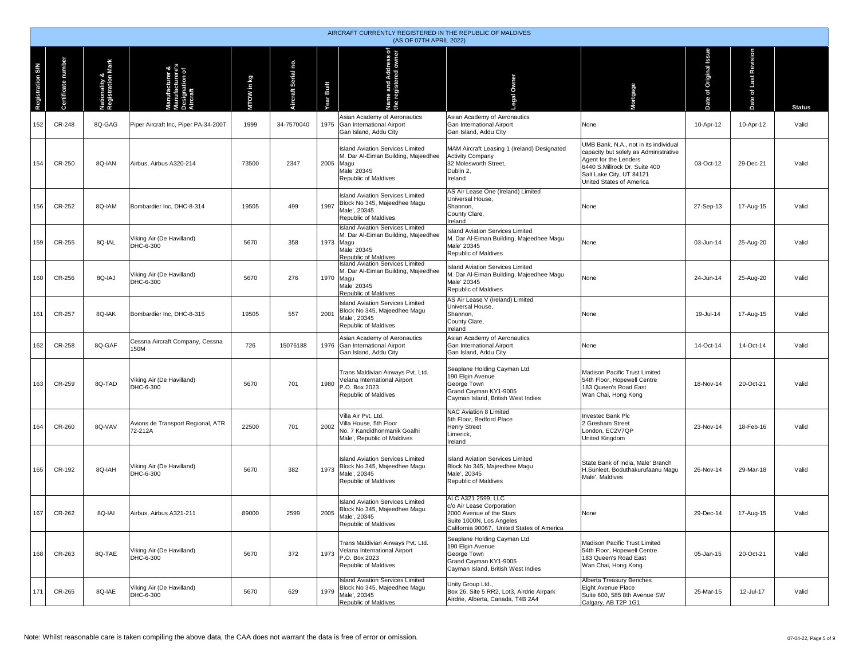|                         | AIRCRAFT CURRENTLY REGISTERED IN THE REPUBLIC OF MALDIVES<br>(AS OF 07TH APRIL 2022) |                                    |                                                                            |            |                          |               |                                                                                                                                    |                                                                                                                                                       |                                                                                                                                                                                                  |                           |                       |               |  |  |
|-------------------------|--------------------------------------------------------------------------------------|------------------------------------|----------------------------------------------------------------------------|------------|--------------------------|---------------|------------------------------------------------------------------------------------------------------------------------------------|-------------------------------------------------------------------------------------------------------------------------------------------------------|--------------------------------------------------------------------------------------------------------------------------------------------------------------------------------------------------|---------------------------|-----------------------|---------------|--|--|
| <b>Registration S/N</b> | Certificate number                                                                   | Nationality &<br>Registration Mark | <b>Manufacturer &amp;</b><br>Manufacturere's<br>Designation of<br>Aircraft | MTOW in kg | ρġ.<br>craft Serial<br>á | Built<br>rear | <b>Name and Address of<br/>he registered owner</b>                                                                                 | Owner<br>egal                                                                                                                                         | ortgage                                                                                                                                                                                          | of Original Issue<br>Date | Date of Last Revision | <b>Status</b> |  |  |
| 152                     | CR-248                                                                               | 8Q-GAG                             | Piper Aircraft Inc, Piper PA-34-200T                                       | 1999       | 34-7570040               |               | Asian Academy of Aeronautics<br>1975 Gan International Airport<br>Gan Island, Addu City                                            | Asian Academy of Aeronautics<br>Gan International Airport<br>Gan Island, Addu City                                                                    | None                                                                                                                                                                                             | 10-Apr-12                 | 10-Apr-12             | Valid         |  |  |
| 154                     | CR-250                                                                               | 8Q-IAN                             | Airbus, Airbus A320-214                                                    | 73500      | 2347                     |               | <b>Island Aviation Services Limited</b><br>M. Dar Al-Eiman Building, Majeedhee<br>2005 Magu<br>Male' 20345<br>Republic of Maldives | MAM Aircraft Leasing 1 (Ireland) Designated<br><b>Activity Company</b><br>32 Molesworth Street,<br>Dublin 2,<br>Ireland                               | UMB Bank, N.A., not in its individual<br>capacity but solely as Administrative<br>Agent for the Lenders<br>6440 S.Millrock Dr. Suite 400<br>Salt Lake City, UT 84121<br>United States of America | 03-Oct-12                 | 29-Dec-21             | Valid         |  |  |
| 156                     | CR-252                                                                               | 8Q-IAM                             | Bombardier Inc, DHC-8-314                                                  | 19505      | 499                      | 1997          | <b>Island Aviation Services Limited</b><br>Block No 345, Majeedhee Magu<br>Male', 20345<br>Republic of Maldives                    | AS Air Lease One (Ireland) Limited<br>Universal House,<br>Shannon,<br>County Clare,<br>Ireland                                                        | None                                                                                                                                                                                             | 27-Sep-13                 | 17-Aug-15             | Valid         |  |  |
| 159                     | CR-255                                                                               | 8Q-IAL                             | Viking Air (De Havilland)<br>DHC-6-300                                     | 5670       | 358                      |               | Island Aviation Services Limited<br>M. Dar Al-Eiman Building, Majeedhee<br>1973 Magu<br>Male' 20345<br>Republic of Maldives        | <b>Island Aviation Services Limited</b><br>M. Dar Al-Eiman Building, Majeedhee Magu<br>Male' 20345<br>Republic of Maldives                            | None                                                                                                                                                                                             | 03-Jun-14                 | 25-Aug-20             | Valid         |  |  |
| 160                     | CR-256                                                                               | 8Q-IAJ                             | Viking Air (De Havilland)<br>DHC-6-300                                     | 5670       | 276                      |               | <b>Island Aviation Services Limited</b><br>M. Dar Al-Eiman Building, Majeedhee<br>1970 Magu<br>Male' 20345<br>Republic of Maldives | <b>Island Aviation Services Limited</b><br>M. Dar Al-Eiman Building, Majeedhee Magu<br>Male' 20345<br>Republic of Maldives                            | None                                                                                                                                                                                             | 24-Jun-14                 | 25-Aug-20             | Valid         |  |  |
| 161                     | CR-257                                                                               | 8Q-IAK                             | Bombardier Inc, DHC-8-315                                                  | 19505      | 557                      | 2001          | <b>Island Aviation Services Limited</b><br>Block No 345, Majeedhee Magu<br>Male', 20345<br>Republic of Maldives                    | AS Air Lease V (Ireland) Limited<br>Universal House,<br>Shannon,<br>County Clare,<br>Ireland                                                          | None                                                                                                                                                                                             | 19-Jul-14                 | 17-Aug-15             | Valid         |  |  |
| 162                     | CR-258                                                                               | 8Q-GAF                             | Cessna Aircraft Company, Cessna<br>150M                                    | 726        | 15076188                 |               | Asian Academy of Aeronautics<br>1976 Gan International Airport<br>Gan Island, Addu City                                            | Asian Academy of Aeronautics<br>Gan International Airport<br>Gan Island, Addu City                                                                    | None                                                                                                                                                                                             | 14-Oct-14                 | 14-Oct-14             | Valid         |  |  |
| 163                     | CR-259                                                                               | 8Q-TAD                             | Viking Air (De Havilland)<br>DHC-6-300                                     | 5670       | 701                      | 1980          | Trans Maldivian Airways Pvt. Ltd.<br>Velana International Airport<br>P.O. Box 2023<br>Republic of Maldives                         | Seaplane Holding Cayman Ltd<br>190 Elgin Avenue<br>George Town<br>Grand Cayman KY1-9005<br>Cayman Island, British West Indies                         | Madison Pacific Trust Limited<br>54th Floor, Hopewell Centre<br>183 Queen's Road East<br>Wan Chai, Hong Kong                                                                                     | 18-Nov-14                 | 20-Oct-21             | Valid         |  |  |
| 164                     | CR-260                                                                               | 8Q-VAV                             | Avions de Transport Regional, ATR<br>72-212A                               | 22500      | 701                      | 2002          | Villa Air Pvt. Ltd.<br>Villa House, 5th Floor<br>No. 7 Kandidhonmanik Goalhi<br>Male', Republic of Maldives                        | NAC Aviation 8 Limited<br>5th Floor, Bedford Place<br><b>Henry Street</b><br>Limerick,<br>Ireland                                                     | Investec Bank Plc<br>2 Gresham Street<br>London, EC2V7QP<br>United Kingdom                                                                                                                       | 23-Nov-14                 | 18-Feb-16             | Valid         |  |  |
| 165                     | CR-192                                                                               | 8Q-IAH                             | Viking Air (De Havilland)<br>DHC-6-300                                     | 5670       | 382                      | 1973          | <b>Island Aviation Services Limited</b><br>Block No 345, Majeedhee Magu<br>Male', 20345<br>Republic of Maldives                    | <b>Island Aviation Services Limited</b><br>Block No 345, Majeedhee Magu<br>Male', 20345<br>Republic of Maldives                                       | State Bank of India, Male' Branch<br>H.Sunleet, Boduthakurufaanu Magu<br>Male', Maldives                                                                                                         | 26-Nov-14                 | 29-Mar-18             | Valid         |  |  |
| 167                     | CR-262                                                                               | 8Q-IAI                             | Airbus, Airbus A321-211                                                    | 89000      | 2599                     | 2005          | <b>Island Aviation Services Limited</b><br>Block No 345, Majeedhee Magu<br>Male', 20345<br>Republic of Maldives                    | ALC A321 2599, LLC<br>c/o Air Lease Corporation<br>2000 Avenue of the Stars<br>Suite 1000N, Los Angeles<br>California 90067, United States of America | None                                                                                                                                                                                             | 29-Dec-14                 | 17-Aug-15             | Valid         |  |  |
| 168                     | CR-263                                                                               | 8Q-TAE                             | Viking Air (De Havilland)<br>DHC-6-300                                     | 5670       | 372                      | 1973          | Trans Maldivian Airways Pvt. Ltd.<br>Velana International Airport<br>P.O. Box 2023<br>Republic of Maldives                         | Seaplane Holding Cayman Ltd<br>190 Elgin Avenue<br>George Town<br>Grand Cayman KY1-9005<br>Cayman Island, British West Indies                         | Madison Pacific Trust Limited<br>54th Floor, Hopewell Centre<br>183 Queen's Road East<br>Wan Chai, Hong Kong                                                                                     | 05-Jan-15                 | 20-Oct-21             | Valid         |  |  |
| 171                     | CR-265                                                                               | 8Q-IAE                             | Viking Air (De Havilland)<br>DHC-6-300                                     | 5670       | 629                      | 1979          | <b>Island Aviation Services Limited</b><br>Block No 345, Majeedhee Magu<br>Male', 20345<br>Republic of Maldives                    | Unity Group Ltd.,<br>Box 26, Site 5 RR2, Lot3, Airdrie Airpark<br>Airdrie, Alberta, Canada, T4B 2A4                                                   | Alberta Treasury Benches<br>Eight Avenue Place<br>Suite 600, 585 8th Avenue SW<br>Calgary, AB T2P 1G1                                                                                            | 25-Mar-15                 | 12-Jul-17             | Valid         |  |  |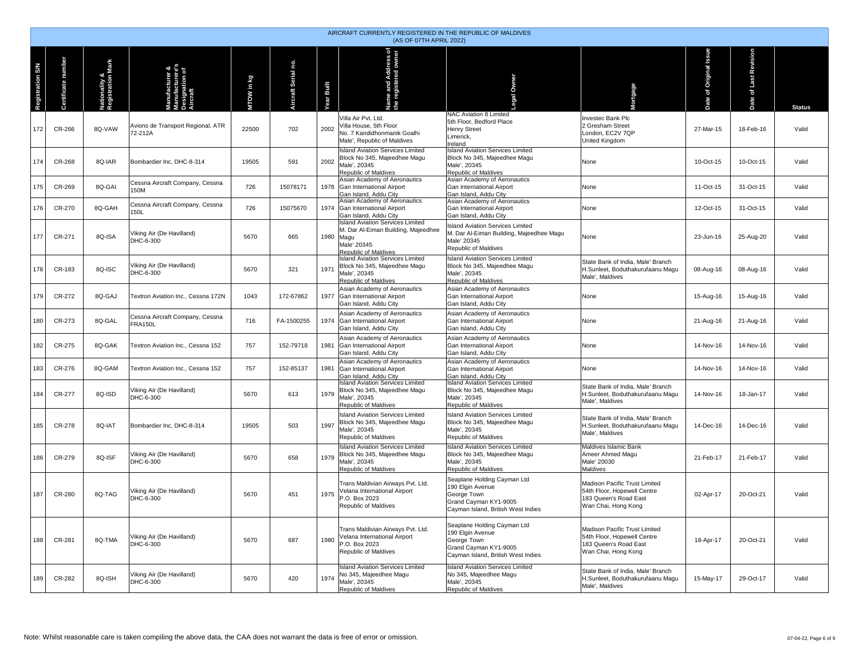|                         | AIRCRAFT CURRENTLY REGISTERED IN THE REPUBLIC OF MALDIVES<br>(AS OF 07TH APRIL 2022) |                                    |                                                   |            |                     |              |                                                                                                                               |                                                                                                                               |                                                                                                              |                   |                                |               |  |  |
|-------------------------|--------------------------------------------------------------------------------------|------------------------------------|---------------------------------------------------|------------|---------------------|--------------|-------------------------------------------------------------------------------------------------------------------------------|-------------------------------------------------------------------------------------------------------------------------------|--------------------------------------------------------------------------------------------------------------|-------------------|--------------------------------|---------------|--|--|
| <b>Registration S/N</b> | numbe<br>tificate I                                                                  | Nationality &<br>Registration Mark |                                                   | MTOW in kg | Aircraft Serial no. | Built<br>ear | and Address of<br>agistered owner<br>Name<br>the reg                                                                          | Owner                                                                                                                         | rtgage                                                                                                       | Original Iss<br>ð | of Last Revisio<br><b>Date</b> | <b>Status</b> |  |  |
| 172                     | CR-266                                                                               | 8Q-VAW                             | Avions de Transport Regional, ATR<br>72-212A      | 22500      | 702                 | 2002         | Villa Air Pvt. Ltd.<br>Villa House, 5th Floor<br>No. 7 Kandidhonmanik Goalhi<br>Male', Republic of Maldives                   | NAC Aviation 8 Limited<br>5th Floor, Bedford Place<br><b>Henry Street</b><br>Limerick,<br>Ireland                             | <b>Investec Bank Plc</b><br>2 Gresham Street<br>London, EC2V 7QP<br><b>United Kingdom</b>                    | 27-Mar-15         | 18-Feb-16                      | Valid         |  |  |
| 174                     | CR-268                                                                               | 8Q-IAR                             | Bombardier Inc. DHC-8-314                         | 19505      | 591                 | 2002         | <b>Island Aviation Services Limited</b><br>Block No 345, Majeedhee Magu<br>Male', 20345<br>Republic of Maldives               | <b>Island Aviation Services Limited</b><br>Block No 345, Majeedhee Magu<br>Male', 20345<br>Republic of Maldives               | None                                                                                                         | 10-Oct-15         | 10-Oct-15                      | Valid         |  |  |
| 175                     | CR-269                                                                               | 8Q-GAI                             | Cessna Aircraft Company, Cessna<br>150M           | 726        | 15078171            | 1978         | Asian Academy of Aeronautics<br>Gan International Airport<br>Gan Island, Addu City                                            | Asian Academy of Aeronautics<br>Gan International Airport<br>Gan Island, Addu City                                            | None                                                                                                         | 11-Oct-15         | 31-Oct-15                      | Valid         |  |  |
| 176                     | CR-270                                                                               | 8Q-GAH                             | Cessna Aircraft Company, Cessna<br>150L           | 726        | 15075670            | 1974         | Asian Academy of Aeronautics<br>Gan International Airport<br>Gan Island, Addu City                                            | Asian Academy of Aeronautics<br>Gan International Airport<br>Gan Island, Addu City                                            | None                                                                                                         | 12-Oct-15         | 31-Oct-15                      | Valid         |  |  |
| 177                     | CR-271                                                                               | 8Q-ISA                             | Viking Air (De Havilland)<br>DHC-6-300            | 5670       | 665                 | 1980         | <b>Island Aviation Services Limited</b><br>M. Dar Al-Eiman Building, Majeedhee<br>Magu<br>Male' 20345<br>Republic of Maldives | <b>Island Aviation Services Limited</b><br>M. Dar Al-Eiman Building, Majeedhee Magu<br>Male' 20345<br>Republic of Maldives    | None                                                                                                         | 23-Jun-16         | 25-Aug-20                      | Valid         |  |  |
| 178                     | CR-183                                                                               | 8Q-ISC                             | Viking Air (De Havilland)<br>DHC-6-300            | 5670       | 321                 | 1971         | Island Aviation Services Limited<br>Block No 345, Majeedhee Magu<br>Male', 20345<br>Republic of Maldives                      | <b>Island Aviation Services Limited</b><br>Block No 345, Majeedhee Magu<br>Male', 20345<br>Republic of Maldives               | State Bank of India, Male' Branch<br>H.Sunleet, Boduthakurufaanu Magu<br>Male', Maldives                     | 08-Aug-16         | 08-Aug-16                      | Valid         |  |  |
| 179                     | CR-272                                                                               | 8Q-GAJ                             | Textron Aviation Inc., Cessna 172N                | 1043       | 172-67862           | 1977         | Asian Academy of Aeronautics<br>Gan International Airport<br>Gan Island, Addu City                                            | Asian Academy of Aeronautics<br>Gan International Airport<br>Gan Island, Addu City                                            | None                                                                                                         | 15-Aug-16         | 15-Aug-16                      | Valid         |  |  |
| 180                     | CR-273                                                                               | 8Q-GAL                             | Cessna Aircraft Company, Cessna<br><b>FRA150L</b> | 716        | FA-1500255          | 1974         | Asian Academy of Aeronautics<br>Gan International Airport<br>Gan Island, Addu City                                            | Asian Academy of Aeronautics<br>Gan International Airport<br>Gan Island, Addu City                                            | None                                                                                                         | 21-Aug-16         | 21-Aug-16                      | Valid         |  |  |
| 182                     | CR-275                                                                               | 8Q-GAK                             | Textron Aviation Inc., Cessna 152                 | 757        | 152-79718           | 1981         | Asian Academy of Aeronautics<br>Gan International Airport<br>Gan Island, Addu City                                            | Asian Academy of Aeronautics<br>Gan International Airport<br>Gan Island, Addu City                                            | None                                                                                                         | 14-Nov-16         | 14-Nov-16                      | Valid         |  |  |
| 183                     | CR-276                                                                               | 8Q-GAM                             | Textron Aviation Inc., Cessna 152                 | 757        | 152-85137           | 1981         | Asian Academy of Aeronautics<br>Gan International Airport<br>Gan Island, Addu City                                            | Asian Academy of Aeronautics<br>Gan International Airport<br>Gan Island, Addu City                                            | None                                                                                                         | 14-Nov-16         | 14-Nov-16                      | Valid         |  |  |
| 184                     | CR-277                                                                               | 8Q-ISD                             | Viking Air (De Havilland)<br>DHC-6-300            | 5670       | 613                 | 1979         | <b>Island Aviation Services Limited</b><br>Block No 345, Majeedhee Magu<br>Male', 20345<br>Republic of Maldives               | <b>Island Aviation Services Limited</b><br>Block No 345, Majeedhee Magu<br>Male', 20345<br>Republic of Maldives               | State Bank of India, Male' Branch<br>H.Sunleet, Boduthakurufaanu Magu<br>Male', Maldives                     | 14-Nov-16         | 18-Jan-17                      | Valid         |  |  |
| 185                     | CR-278                                                                               | 8Q-IAT                             | Bombardier Inc, DHC-8-314                         | 19505      | 503                 | 1997         | <b>Island Aviation Services Limited</b><br>Block No 345, Majeedhee Magu<br>Male', 20345<br>Republic of Maldives               | <b>Island Aviation Services Limited</b><br>Block No 345, Majeedhee Magu<br>Male', 20345<br>Republic of Maldives               | State Bank of India, Male' Branch<br>H.Sunleet, Boduthakurufaanu Magu<br>Male'. Maldives                     | 14-Dec-16         | 14-Dec-16                      | Valid         |  |  |
| 186                     | CR-279                                                                               | 8Q-ISF                             | Viking Air (De Havilland)<br>DHC-6-300            | 5670       | 658                 | 1979         | <b>Island Aviation Services Limited</b><br>Block No 345, Majeedhee Magu<br>Male', 20345<br>Republic of Maldives               | <b>Island Aviation Services Limited</b><br>Block No 345, Majeedhee Magu<br>Male', 20345<br>Republic of Maldives               | Maldives Islamic Bank<br>Ameer Ahmed Magu<br>Male' 20030<br>Maldives                                         | 21-Feb-17         | 21-Feb-17                      | Valid         |  |  |
| 187                     | CR-280                                                                               | 8Q-TAG                             | Viking Air (De Havilland)<br>DHC-6-300            | 5670       | 451                 | 1975         | Trans Maldivian Airways Pvt. Ltd.<br>Velana International Airport<br>P.O. Box 2023<br>Republic of Maldives                    | Seaplane Holding Cayman Ltd<br>190 Elgin Avenue<br>George Town<br>Grand Cayman KY1-9005<br>Cavman Island, British West Indies | Madison Pacific Trust Limited<br>54th Floor, Hopewell Centre<br>183 Queen's Road East<br>Wan Chai, Hong Kong | 02-Apr-17         | 20-Oct-21                      | Valid         |  |  |
| 188                     | CR-281                                                                               | 8Q-TMA                             | Viking Air (De Havilland)<br>DHC-6-300            | 5670       | 687                 | 1980         | Trans Maldivian Airways Pvt. Ltd.<br>Velana International Airport<br>P.O. Box 2023<br>Republic of Maldives                    | Seaplane Holding Cayman Ltd<br>190 Elgin Avenue<br>George Town<br>Grand Cayman KY1-9005<br>Cayman Island, British West Indies | Madison Pacific Trust Limited<br>54th Floor, Hopewell Centre<br>183 Queen's Road East<br>Wan Chai, Hong Kong | 18-Apr-17         | 20-Oct-21                      | Valid         |  |  |
| 189                     | CR-282                                                                               | 8Q-ISH                             | Viking Air (De Havilland)<br>DHC-6-300            | 5670       | 420                 | 1974         | <b>Island Aviation Services Limited</b><br>No 345, Majeedhee Magu<br>Male', 20345<br>Republic of Maldives                     | <b>Island Aviation Services Limited</b><br>No 345, Majeedhee Magu<br>Male', 20345<br>Republic of Maldives                     | State Bank of India, Male' Branch<br>H.Sunleet, Boduthakurufaanu Magu<br>Male', Maldives                     | 15-May-17         | 29-Oct-17                      | Valid         |  |  |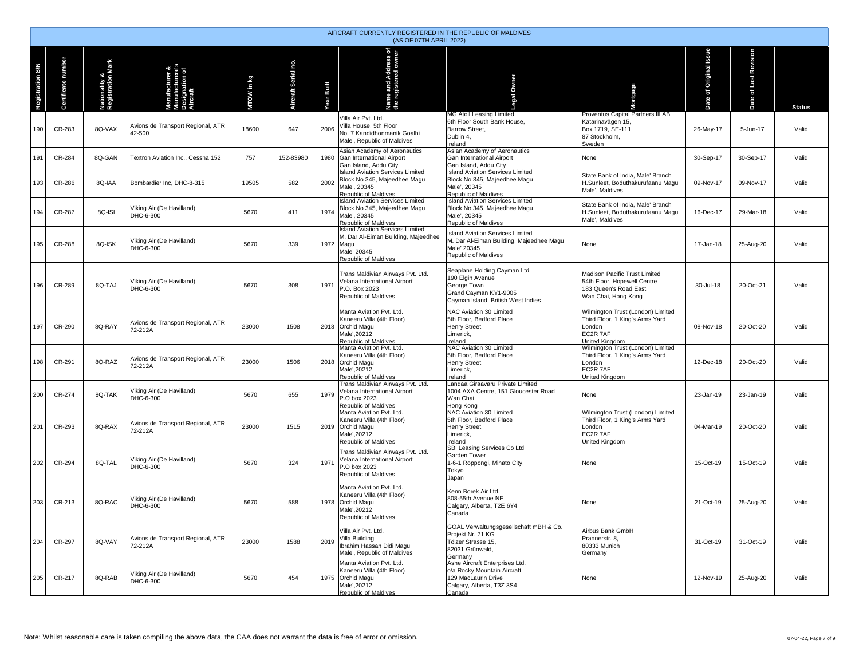|                         | AIRCRAFT CURRENTLY REGISTERED IN THE REPUBLIC OF MALDIVES<br>(AS OF 07TH APRIL 2022) |                                    |                                                     |            |                        |              |                                                                                                                                           |                                                                                                                               |                                                                                                              |                          |                                 |               |  |  |
|-------------------------|--------------------------------------------------------------------------------------|------------------------------------|-----------------------------------------------------|------------|------------------------|--------------|-------------------------------------------------------------------------------------------------------------------------------------------|-------------------------------------------------------------------------------------------------------------------------------|--------------------------------------------------------------------------------------------------------------|--------------------------|---------------------------------|---------------|--|--|
| <b>Registration S/N</b> | Certificate number                                                                   | Nationality &<br>Registration Mark | facturer<br>$\frac{5}{2}$<br>Designatio<br>Aircraft | MTOW in kg | no.<br>Aircraft Serial | Built<br>ear | ame and Address of<br>e registered owner<br>e.                                                                                            | Owner<br>ga                                                                                                                   | Mortgage                                                                                                     | of Original Issue<br>ate | of Last Revision<br><b>Date</b> | <b>Status</b> |  |  |
| 190                     | CR-283                                                                               | 8Q-VAX                             | Avions de Transport Regional, ATR<br>42-500         | 18600      | 647                    | 2006         | Villa Air Pvt. Ltd.<br>Villa House, 5th Floor<br>No. 7 Kandidhonmanik Goalhi<br>Male', Republic of Maldives                               | MG Atoll Leasing Limited<br>6th Floor South Bank House,<br><b>Barrow Street,</b><br>Dublin 4,<br>Ireland                      | Proventus Capital Partners III AB<br>Katarinavägen 15,<br>Box 1719, SE-111<br>87 Stockholm,<br>Sweden        | 26-May-17                | 5-Jun-17                        | Valid         |  |  |
| 191                     | CR-284                                                                               | 8Q-GAN                             | Textron Aviation Inc., Cessna 152                   | 757        | 152-83980              | 1980         | Asian Academy of Aeronautics<br>Gan International Airport<br>Gan Island, Addu City                                                        | Asian Academy of Aeronautics<br>Gan International Airport<br>Gan Island, Addu City                                            | None                                                                                                         | 30-Sep-17                | 30-Sep-17                       | Valid         |  |  |
| 193                     | CR-286                                                                               | 8Q-IAA                             | Bombardier Inc, DHC-8-315                           | 19505      | 582                    | 2002         | <b>Island Aviation Services Limited</b><br>Block No 345, Majeedhee Magu<br>Male', 20345<br>Republic of Maldives                           | <b>Island Aviation Services Limited</b><br>Block No 345, Majeedhee Magu<br>Male', 20345<br>Republic of Maldives               | State Bank of India, Male' Branch<br>H.Sunleet, Boduthakurufaanu Magu<br>Male', Maldives                     | 09-Nov-17                | 09-Nov-17                       | Valid         |  |  |
| 194                     | <b>CR-287</b>                                                                        | 8Q-ISI                             | Viking Air (De Havilland)<br>DHC-6-300              | 5670       | 411                    | 1974         | <b>Island Aviation Services Limited</b><br>Block No 345, Majeedhee Magu<br>Male', 20345<br>Republic of Maldives                           | <b>Island Aviation Services Limited</b><br>Block No 345, Majeedhee Magu<br>Male', 20345<br>Republic of Maldives               | State Bank of India, Male' Branch<br>H.Sunleet, Boduthakurufaanu Magu<br>Male', Maldives                     | 16-Dec-17                | 29-Mar-18                       | Valid         |  |  |
| 195                     | CR-288                                                                               | 8Q-ISK                             | Viking Air (De Havilland)<br>DHC-6-300              | 5670       | 339                    |              | <b>Island Aviation Services Limited</b><br>M. Dar Al-Eiman Building, Majeedhee<br>1972 Magu<br>Male' 20345<br><b>Republic of Maldives</b> | <b>Island Aviation Services Limited</b><br>M. Dar Al-Eiman Building, Maieedhee Magu<br>Male' 20345<br>Republic of Maldives    | None                                                                                                         | 17-Jan-18                | 25-Aug-20                       | Valid         |  |  |
| 196                     | CR-289                                                                               | 8Q-TAJ                             | Viking Air (De Havilland)<br>DHC-6-300              | 5670       | 308                    | 1971         | Trans Maldivian Airways Pvt. Ltd.<br>Velana International Airport<br>P.O. Box 2023<br>Republic of Maldives                                | Seaplane Holding Cayman Ltd<br>190 Elgin Avenue<br>George Town<br>Grand Cayman KY1-9005<br>Cayman Island, British West Indies | Madison Pacific Trust Limited<br>54th Floor, Hopewell Centre<br>183 Queen's Road East<br>Wan Chai, Hong Kong | 30-Jul-18                | 20-Oct-21                       | Valid         |  |  |
| 197                     | CR-290                                                                               | 8Q-RAY                             | Avions de Transport Regional, ATR<br>72-212A        | 23000      | 1508                   |              | Manta Aviation Pvt. Ltd.<br>Kaneeru Villa (4th Floor)<br>2018 Orchid Magu<br>Male'.20212<br>Republic of Maldives                          | NAC Aviation 30 Limited<br>5th Floor, Bedford Place<br><b>Henry Street</b><br>Limerick,<br>Ireland                            | Wilmington Trust (London) Limited<br>Third Floor, 1 King's Arms Yard<br>London<br>EC2R 7AF<br>United Kingdom | 08-Nov-18                | 20-Oct-20                       | Valid         |  |  |
| 198                     | CR-291                                                                               | 8Q-RAZ                             | Avions de Transport Regional, ATR<br>72-212A        | 23000      | 1506                   |              | Manta Aviation Pvt. Ltd.<br>Kaneeru Villa (4th Floor)<br>2018 Orchid Magu<br>Male', 20212<br>Republic of Maldives                         | NAC Aviation 30 Limited<br>5th Floor, Bedford Place<br><b>Henry Street</b><br>Limerick,<br>Ireland                            | Wilmington Trust (London) Limited<br>Third Floor, 1 King's Arms Yard<br>London<br>EC2R 7AF<br>United Kingdom | 12-Dec-18                | 20-Oct-20                       | Valid         |  |  |
| 200                     | CR-274                                                                               | 8Q-TAK                             | Viking Air (De Havilland)<br>DHC-6-300              | 5670       | 655                    | 1979         | Trans Maldivian Airways Pvt. Ltd.<br>Velana International Airport<br>P.O box 2023<br>Republic of Maldives                                 | Landaa Giraavaru Private Limited<br>1004 AXA Centre, 151 Gloucester Road<br>Wan Chai<br>Hong Kong                             | None                                                                                                         | 23-Jan-19                | 23-Jan-19                       | Valid         |  |  |
| 201                     | CR-293                                                                               | 8Q-RAX                             | Avions de Transport Regional, ATR<br>72-212A        | 23000      | 1515                   |              | Manta Aviation Pvt. Ltd.<br>Kaneeru Villa (4th Floor)<br>2019 Orchid Magu<br>Male', 20212<br>Republic of Maldives                         | NAC Aviation 30 Limited<br>5th Floor, Bedford Place<br><b>Henry Street</b><br>Limerick,<br>Ireland                            | Wilmington Trust (London) Limited<br>Third Floor, 1 King's Arms Yard<br>London<br>EC2R 7AF<br>United Kingdom | 04-Mar-19                | 20-Oct-20                       | Valid         |  |  |
| 202                     | CR-294                                                                               | 8Q-TAL                             | Viking Air (De Havilland)<br>DHC-6-300              | 5670       | 324                    | 1971         | Trans Maldivian Airways Pvt. Ltd.<br>Velana International Airport<br>P.O box 2023<br>Republic of Maldives                                 | SBI Leasing Services Co Ltd<br>Garden Tower<br>1-6-1 Roppongi, Minato City,<br>Tokyo<br>Japan                                 | None                                                                                                         | 15-Oct-19                | 15-Oct-19                       | Valid         |  |  |
| 203                     | CR-213                                                                               | 8Q-RAC                             | Viking Air (De Havilland)<br>DHC-6-300              | 5670       | 588                    |              | Manta Aviation Pvt. Ltd.<br>Kaneeru Villa (4th Floor)<br>1978 Orchid Magu<br>Male', 20212<br>Republic of Maldives                         | Kenn Borek Air Ltd.<br>808-55th Avenue NE<br>Calgary, Alberta, T2E 6Y4<br>Canada                                              | None                                                                                                         | 21-Oct-19                | 25-Aug-20                       | Valid         |  |  |
| 204                     | CR-297                                                                               | 8Q-VAY                             | Avions de Transport Regional, ATR<br>72-212A        | 23000      | 1588                   | 2019         | Villa Air Pvt. Ltd.<br>Villa Building<br>Ibrahim Hassan Didi Magu<br>Male', Republic of Maldives                                          | GOAL Verwaltungsgesellschaft mBH & Co.<br>Projekt Nr. 71 KG<br>Tölzer Strasse 15,<br>82031 Grünwald.<br>Germany               | Airbus Bank GmbH<br>Prannerstr. 8,<br>80333 Munich<br>Germany                                                | 31-Oct-19                | 31-Oct-19                       | Valid         |  |  |
| 205                     | CR-217                                                                               | 8Q-RAB                             | Viking Air (De Havilland)<br>DHC-6-300              | 5670       | 454                    |              | Manta Aviation Pvt. Ltd.<br>Kaneeru Villa (4th Floor)<br>1975 Orchid Magu<br>Male', 20212<br>Republic of Maldives                         | Ashe Aircraft Enterprises Ltd.<br>o/a Rocky Mountain Aircraft<br>129 MacLaurin Drive<br>Calgary, Alberta, T3Z 3S4<br>Canada   | None                                                                                                         | 12-Nov-19                | 25-Aug-20                       | Valid         |  |  |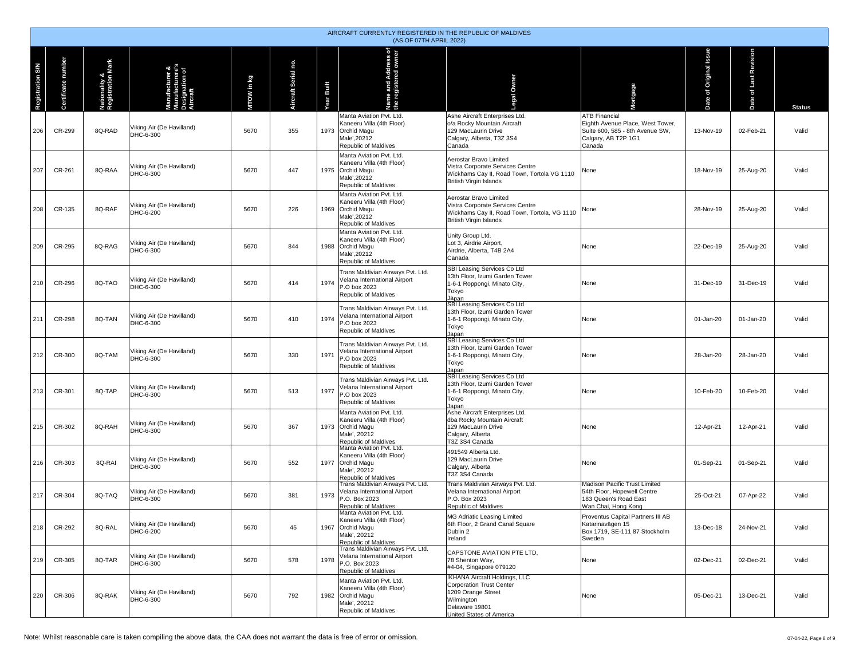|                         | AIRCRAFT CURRENTLY REGISTERED IN THE REPUBLIC OF MALDIVES<br>(AS OF 07TH APRIL 2022) |                                    |                                                                                  |            |                     |                 |                                                                                                                          |                                                                                                                                                                  |                                                                                                                              |                                          |                       |               |  |  |
|-------------------------|--------------------------------------------------------------------------------------|------------------------------------|----------------------------------------------------------------------------------|------------|---------------------|-----------------|--------------------------------------------------------------------------------------------------------------------------|------------------------------------------------------------------------------------------------------------------------------------------------------------------|------------------------------------------------------------------------------------------------------------------------------|------------------------------------------|-----------------------|---------------|--|--|
| <b>Registration S/N</b> | Certificate number                                                                   | Nationality &<br>Registration Mark | nufacturer &<br>Manufacturer o:<br>Manufacturere's<br>Designation of<br>Aircraft | MTOW in kg | Aircraft Serial no. | Built<br>Year I | Name and Address of<br>the registered owner                                                                              | Owner<br>ø                                                                                                                                                       | Mortgage                                                                                                                     | <b>urss</b><br>Original I<br>ate of<br>ö | Date of Last Revision | <b>Status</b> |  |  |
| 206                     | CR-299                                                                               | 8Q-RAD                             | Viking Air (De Havilland)<br>DHC-6-300                                           | 5670       | 355                 |                 | Manta Aviation Pvt. Ltd.<br>Kaneeru Villa (4th Floor)<br>1973 Orchid Magu<br>Male', 20212<br>Republic of Maldives        | Ashe Aircraft Enterprises Ltd.<br>o/a Rocky Mountain Aircraft<br>129 MacLaurin Drive<br>Calgary, Alberta, T3Z 3S4<br>Canada                                      | <b>ATB Financial</b><br>Eighth Avenue Place, West Tower,<br>Suite 600, 585 - 8th Avenue SW.<br>Calgary, AB T2P 1G1<br>Canada | 13-Nov-19                                | 02-Feb-21             | Valid         |  |  |
| 207                     | CR-261                                                                               | 8Q-RAA                             | Viking Air (De Havilland)<br>DHC-6-300                                           | 5670       | 447                 |                 | Manta Aviation Pvt. Ltd.<br>Kaneeru Villa (4th Floor)<br>1975 Orchid Magu<br>Male'.20212<br>Republic of Maldives         | Aerostar Bravo Limited<br>Vistra Corporate Services Centre<br>Wickhams Cay II, Road Town, Tortola VG 1110<br><b>British Virgin Islands</b>                       | None                                                                                                                         | 18-Nov-19                                | 25-Aug-20             | Valid         |  |  |
| 208                     | CR-135                                                                               | 8Q-RAF                             | Viking Air (De Havilland)<br>DHC-6-200                                           | 5670       | 226                 |                 | Manta Aviation Pvt. Ltd.<br>Kaneeru Villa (4th Floor)<br>1969 Orchid Magu<br>Male'.20212<br>Republic of Maldives         | Aerostar Bravo Limited<br>Vistra Corporate Services Centre<br>Wickhams Cay II, Road Town, Tortola, VG 1110<br>British Virgin Islands                             | None                                                                                                                         | 28-Nov-19                                | 25-Aug-20             | Valid         |  |  |
| 209                     | CR-295                                                                               | 8Q-RAG                             | Viking Air (De Havilland)<br>DHC-6-300                                           | 5670       | 844                 |                 | Manta Aviation Pvt. Ltd.<br>Kaneeru Villa (4th Floor)<br>1988 Orchid Magu<br>Male', 20212<br>Republic of Maldives        | Unity Group Ltd.<br>Lot 3, Airdrie Airport,<br>Airdrie, Alberta, T4B 2A4<br>Canada                                                                               | None                                                                                                                         | 22-Dec-19                                | 25-Aug-20             | Valid         |  |  |
| 210                     | CR-296                                                                               | 8Q-TAO                             | Viking Air (De Havilland)<br>DHC-6-300                                           | 5670       | 414                 | 1974            | Trans Maldivian Airways Pvt. Ltd.<br>/elana International Airport<br>P.O box 2023<br>Republic of Maldives                | SBI Leasing Services Co Ltd<br>13th Floor, Izumi Garden Tower<br>1-6-1 Roppongi, Minato City,<br>Tokyo<br>Japan                                                  | None                                                                                                                         | 31-Dec-19                                | 31-Dec-19             | Valid         |  |  |
| 211                     | CR-298                                                                               | 8Q-TAN                             | Viking Air (De Havilland)<br>DHC-6-300                                           | 5670       | 410                 | 1974            | Trans Maldivian Airways Pvt. Ltd.<br>Velana International Airport<br>P.O box 2023<br>Republic of Maldives                | SBI Leasing Services Co Ltd<br>13th Floor, Izumi Garden Tower<br>1-6-1 Roppongi, Minato City,<br>Tokyo<br>Japan                                                  | None                                                                                                                         | 01-Jan-20                                | 01-Jan-20             | Valid         |  |  |
| 212                     | CR-300                                                                               | 8Q-TAM                             | Viking Air (De Havilland)<br>DHC-6-300                                           | 5670       | 330                 | 1971            | Trans Maldivian Airways Pvt. Ltd.<br>Velana International Airport<br>P.O box 2023<br>Republic of Maldives                | SBI Leasing Services Co Ltd<br>13th Floor, Izumi Garden Tower<br>1-6-1 Roppongi, Minato City,<br>Tokyo<br>Japan                                                  | None                                                                                                                         | 28-Jan-20                                | 28-Jan-20             | Valid         |  |  |
| 213                     | CR-301                                                                               | 8Q-TAP                             | Viking Air (De Havilland)<br>DHC-6-300                                           | 5670       | 513                 | 1977            | Trans Maldivian Airways Pvt. Ltd.<br>Velana International Airport<br>P.O box 2023<br>Republic of Maldives                | SBI Leasing Services Co Ltd<br>13th Floor, Izumi Garden Tower<br>1-6-1 Roppongi, Minato City,<br>Tokyo<br>Japan                                                  | None                                                                                                                         | 10-Feb-20                                | 10-Feb-20             | Valid         |  |  |
| 215                     | CR-302                                                                               | 8Q-RAH                             | Viking Air (De Havilland)<br>DHC-6-300                                           | 5670       | 367                 |                 | Manta Aviation Pvt. Ltd.<br>Kaneeru Villa (4th Floor)<br>1973 Orchid Magu<br>Male', 20212<br>Republic of Maldives        | Ashe Aircraft Enterprises Ltd.<br>dba Rocky Mountain Aircraft<br>129 MacLaurin Drive<br>Calgary, Alberta<br>T3Z 3S4 Canada                                       | None                                                                                                                         | 12-Apr-21                                | 12-Apr-21             | Valid         |  |  |
| 216                     | CR-303                                                                               | 8Q-RAI                             | Viking Air (De Havilland)<br>DHC-6-300                                           | 5670       | 552                 |                 | Manta Aviation Pvt. Ltd.<br>Kaneeru Villa (4th Floor)<br>1977 Orchid Magu<br>Male', 20212<br><b>Republic of Maldives</b> | 491549 Alberta Ltd.<br>129 MacLaurin Drive<br>Calgary, Alberta<br>T3Z 3S4 Canada                                                                                 | None                                                                                                                         | 01-Sep-21                                | 01-Sep-21             | Valid         |  |  |
| 217                     | CR-304                                                                               | 8Q-TAQ                             | Viking Air (De Havilland)<br>DHC-6-300                                           | 5670       | 381                 | 1973            | Trans Maldivian Airways Pvt. Ltd.<br>Velana International Airport<br>P.O. Box 2023<br>Republic of Maldives               | Trans Maldivian Airways Pvt. Ltd.<br>Velana International Airport<br>P.O. Box 2023<br>Republic of Maldives                                                       | Madison Pacific Trust Limited<br>54th Floor, Hopewell Centre<br>183 Queen's Road East<br>Wan Chai, Hong Kong                 | 25-Oct-21                                | 07-Apr-22             | Valid         |  |  |
| 218                     | CR-292                                                                               | 8Q-RAL                             | Viking Air (De Havilland)<br>DHC-6-200                                           | 5670       | 45                  |                 | Manta Aviation Pvt. Ltd.<br>Kaneeru Villa (4th Floor)<br>1967 Orchid Magu<br>Male', 20212<br>Republic of Maldives        | MG Adriatic Leasing Limited<br>6th Floor, 2 Grand Canal Square<br>Dublin 2<br>Ireland                                                                            | Proventus Capital Partners III AB<br>Katarinavägen 15<br>Box 1719, SE-111 87 Stockholm<br>Sweden                             | 13-Dec-18                                | 24-Nov-21             | Valid         |  |  |
| 219                     | CR-305                                                                               | 8Q-TAR                             | Viking Air (De Havilland)<br>DHC-6-300                                           | 5670       | 578                 | 1978            | Trans Maldivian Airways Pvt. Ltd.<br>Velana International Airport<br>P.O. Box 2023<br>Republic of Maldives               | CAPSTONE AVIATION PTE LTD.<br>78 Shenton Way,<br>#4-04, Singapore 079120                                                                                         | None                                                                                                                         | 02-Dec-21                                | 02-Dec-21             | Valid         |  |  |
| 220                     | CR-306                                                                               | 8Q-RAK                             | Viking Air (De Havilland)<br>DHC-6-300                                           | 5670       | 792                 |                 | Manta Aviation Pvt. Ltd.<br>Kaneeru Villa (4th Floor)<br>1982 Orchid Magu<br>Male', 20212<br>Republic of Maldives        | <b>IKHANA Aircraft Holdings, LLC</b><br><b>Corporation Trust Center</b><br>1209 Orange Street<br>Wilmington<br>Delaware 19801<br><b>United States of America</b> | None                                                                                                                         | 05-Dec-21                                | 13-Dec-21             | Valid         |  |  |